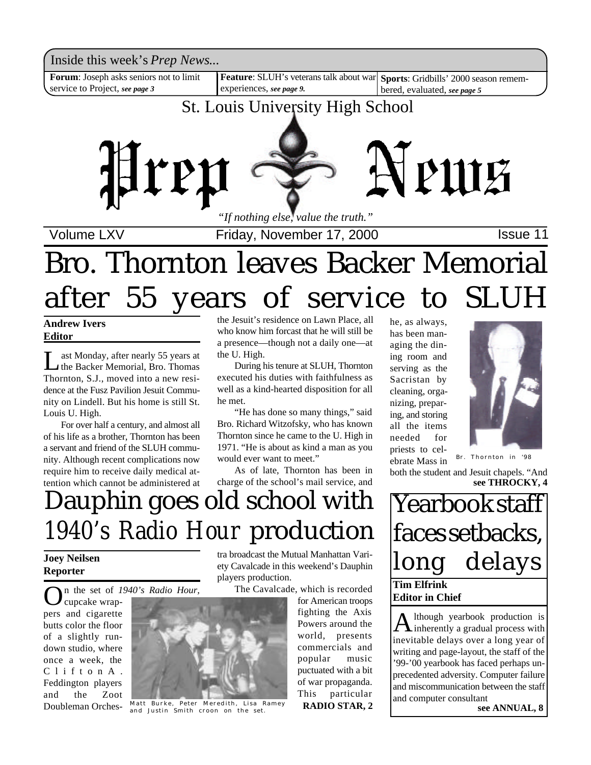

# Bro. Thornton leaves Backer Memorial after 55 years of service to SLUH

**Andrew Ivers Editor**

Let Monday, after nearly 55 years at<br>the Backer Memorial, Bro. Thomas<br>Thornton, S.J., moved into a new resiast Monday, after nearly 55 years at the Backer Memorial, Bro. Thomas dence at the Fusz Pavilion Jesuit Community on Lindell. But his home is still St. Louis U. High.

For over half a century, and almost all of his life as a brother, Thornton has been a servant and friend of the SLUH community. Although recent complications now require him to receive daily medical attention which cannot be administered at

the Jesuit's residence on Lawn Place, all who know him forcast that he will still be a presence—though not a daily one—at the U. High.

During his tenure at SLUH, Thornton executed his duties with faithfulness as well as a kind-hearted disposition for all he met.

"He has done so many things," said Bro. Richard Witzofsky, who has known Thornton since he came to the U. High in 1971. "He is about as kind a man as you would ever want to meet."

As of late, Thornton has been in charge of the school's mail service, and he, as always, has been managing the dining room and serving as the Sacristan by cleaning, organizing, preparing, and storing all the items needed for priests to celebrate Mass in



Br. Thornton in '98

both the student and Jesuit chapels. "And

**see THROCKY, 4**

**Tim Elfrink Editor in Chief** Yearbook staff faces setbacks, long delays

A lthough yearbook production is<br>inherently a gradual process with lthough yearbook production is inevitable delays over a long year of writing and page-layout, the staff of the '99-'00 yearbook has faced perhaps unprecedented adversity. Computer failure and miscommunication between the staff and computer consultant

# Dauphin goes old school with *1940's Radio Hour* production

### **Joey Neilsen Reporter**

n the set of *1940's Radio Hour,*

O cupcake wrappers and cigarette butts color the floor of a slightly rundown studio, where once a week, the C l i f t o n A . Feddington players and the Zoot Doubleman Orches-



Matt Burke, Peter Meredith, Lisa Ramey<br>and Justin Smith croon on the set.<br>**RADIO STAR, 2** and Justin Smith croon on the set.

tra broadcast the Mutual Manhattan Variety Cavalcade in this weekend's Dauphin players production.

The Cavalcade, which is recorded

for American troops fighting the Axis Powers around the world, presents commercials and popular music puctuated with a bit of war propaganda. This particular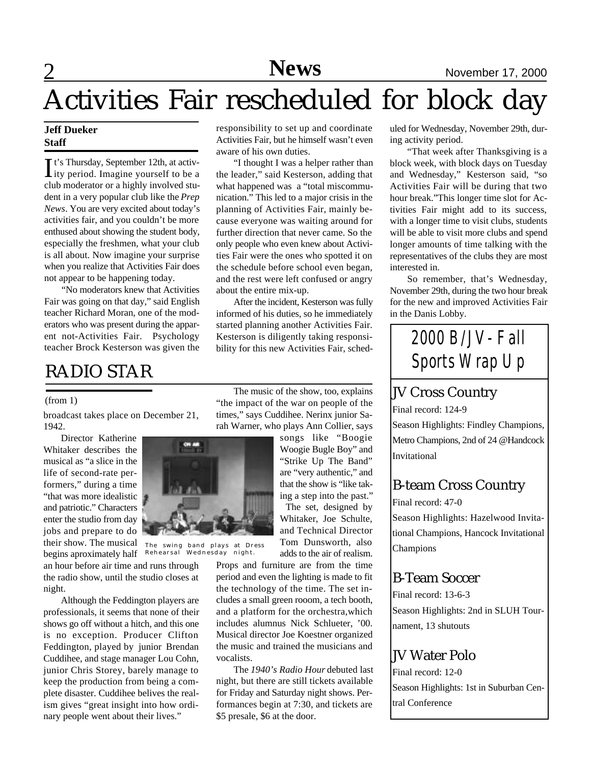# Activities Fair rescheduled for block day

### **Jeff Dueker Staff**

It's Thursday, September 12th, at activ-<br>ity period. Imagine yourself to be a t's Thursday, September 12th, at activclub moderator or a highly involved student in a very popular club like the *Prep News*. You are very excited about today's activities fair, and you couldn't be more enthused about showing the student body, especially the freshmen, what your club is all about. Now imagine your surprise when you realize that Activities Fair does not appear to be happening today.

"No moderators knew that Activities Fair was going on that day," said English teacher Richard Moran, one of the moderators who was present during the apparent not-Activities Fair. Psychology teacher Brock Kesterson was given the

### RADIO STAR

#### (from 1)

broadcast takes place on December 21, 1942.

Director Katherine Whitaker describes the musical as "a slice in the life of second-rate performers," during a time "that was more idealistic and patriotic." Characters enter the studio from day jobs and prepare to do their show. The musical

begins aproximately half an hour before air time and runs through the radio show, until the studio closes at night.

Although the Feddington players are professionals, it seems that none of their shows go off without a hitch, and this one is no exception. Producer Clifton Feddington, played by junior Brendan Cuddihee, and stage manager Lou Cohn, junior Chris Storey, barely manage to keep the production from being a complete disaster. Cuddihee belives the realism gives "great insight into how ordinary people went about their lives."

responsibility to set up and coordinate Activities Fair, but he himself wasn't even aware of his own duties.

"I thought I was a helper rather than the leader," said Kesterson, adding that what happened was a "total miscommunication." This led to a major crisis in the planning of Activities Fair, mainly because everyone was waiting around for further direction that never came. So the only people who even knew about Activities Fair were the ones who spotted it on the schedule before school even began, and the rest were left confused or angry about the entire mix-up.

After the incident, Kesterson was fully informed of his duties, so he immediately started planning another Activities Fair. Kesterson is diligently taking responsibility for this new Activities Fair, sched-

The music of the show, too, explains "the impact of the war on people of the times," says Cuddihee. Nerinx junior Sarah Warner, who plays Ann Collier, says

> songs like "Boogie Woogie Bugle Boy" and "Strike Up The Band" are "very authentic," and that the show is "like taking a step into the past."

> The set, designed by Whitaker, Joe Schulte, and Technical Director Tom Dunsworth, also adds to the air of realism.

Props and furniture are from the time period and even the lighting is made to fit the technology of the time. The set includes a small green rooom, a tech booth, and a platform for the orchestra,which includes alumnus Nick Schlueter, '00. Musical director Joe Koestner organized the music and trained the musicians and vocalists.

The *1940's Radio Hour* debuted last night, but there are still tickets available for Friday and Saturday night shows. Performances begin at 7:30, and tickets are \$5 presale, \$6 at the door.

uled for Wednesday, November 29th, during activity period.

"That week after Thanksgiving is a block week, with block days on Tuesday and Wednesday," Kesterson said, "so Activities Fair will be during that two hour break."This longer time slot for Activities Fair might add to its success, with a longer time to visit clubs, students will be able to visit more clubs and spend longer amounts of time talking with the representatives of the clubs they are most interested in.

So remember, that's Wednesday, November 29th, during the two hour break for the new and improved Activities Fair in the Danis Lobby.



### JV Cross Country

Final record: 124-9

Season Highlights: Findley Champions, Metro Champions, 2nd of 24 @Handcock Invitational

### B-team Cross Country

Final record: 47-0 Season Highlights: Hazelwood Invitational Champions, Hancock Invitational Champions

### B-Team Soccer

Final record: 13-6-3 Season Highlights: 2nd in SLUH Tournament, 13 shutouts

### JV Water Polo

Final record: 12-0 Season Highlights: 1st in Suburban Central Conference



The swing band plays at Dress Rehearsal Wednesday night.

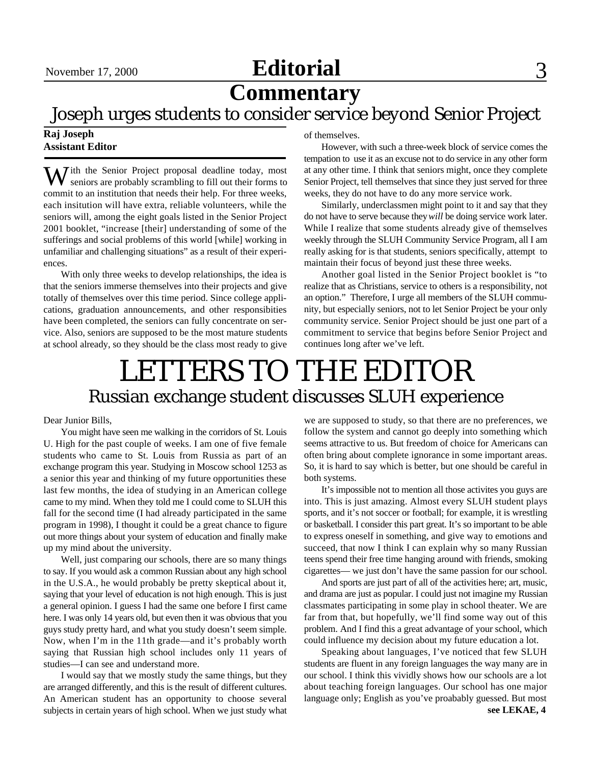### November 17, 2000 **Editorial** 3

## **Commentary**

### Joseph urges students to consider service beyond Senior Project

### **Raj Joseph Assistant Editor**

With the Senior Project proposal deadline today, most seniors are probably scrambling to fill out their forms to commit to an institution that needs their help. For three weeks, each insitution will have extra, reliable volunteers, while the seniors will, among the eight goals listed in the Senior Project 2001 booklet, "increase [their] understanding of some of the sufferings and social problems of this world [while] working in unfamiliar and challenging situations" as a result of their experiences.

With only three weeks to develop relationships, the idea is that the seniors immerse themselves into their projects and give totally of themselves over this time period. Since college applications, graduation announcements, and other responsibities have been completed, the seniors can fully concentrate on service. Also, seniors are supposed to be the most mature students at school already, so they should be the class most ready to give of themselves.

However, with such a three-week block of service comes the tempation to use it as an excuse not to do service in any other form at any other time. I think that seniors might, once they complete Senior Project, tell themselves that since they just served for three weeks, they do not have to do any more service work.

Similarly, underclassmen might point to it and say that they do not have to serve because they *will* be doing service work later. While I realize that some students already give of themselves weekly through the SLUH Community Service Program, all I am really asking for is that students, seniors specifically, attempt to maintain their focus of beyond just these three weeks.

Another goal listed in the Senior Project booklet is "to realize that as Christians, service to others is a responsibility, not an option." Therefore, I urge all members of the SLUH community, but especially seniors, not to let Senior Project be your only community service. Senior Project should be just one part of a commitment to service that begins before Senior Project and continues long after we've left.

## LETTERS TO THE EDITOR Russian exchange student discusses SLUH experience

#### Dear Junior Bills,

You might have seen me walking in the corridors of St. Louis U. High for the past couple of weeks. I am one of five female students who came to St. Louis from Russia as part of an exchange program this year. Studying in Moscow school 1253 as a senior this year and thinking of my future opportunities these last few months, the idea of studying in an American college came to my mind. When they told me I could come to SLUH this fall for the second time (I had already participated in the same program in 1998), I thought it could be a great chance to figure out more things about your system of education and finally make up my mind about the university.

Well, just comparing our schools, there are so many things to say. If you would ask a common Russian about any high school in the U.S.A., he would probably be pretty skeptical about it, saying that your level of education is not high enough. This is just a general opinion. I guess I had the same one before I first came here. I was only 14 years old, but even then it was obvious that you guys study pretty hard, and what you study doesn't seem simple. Now, when I'm in the 11th grade—and it's probably worth saying that Russian high school includes only 11 years of studies—I can see and understand more.

I would say that we mostly study the same things, but they are arranged differently, and this is the result of different cultures. An American student has an opportunity to choose several subjects in certain years of high school. When we just study what we are supposed to study, so that there are no preferences, we follow the system and cannot go deeply into something which seems attractive to us. But freedom of choice for Americans can often bring about complete ignorance in some important areas. So, it is hard to say which is better, but one should be careful in both systems.

It's impossible not to mention all those activites you guys are into. This is just amazing. Almost every SLUH student plays sports, and it's not soccer or football; for example, it is wrestling or basketball. I consider this part great. It's so important to be able to express oneself in something, and give way to emotions and succeed, that now I think I can explain why so many Russian teens spend their free time hanging around with friends, smoking cigarettes— we just don't have the same passion for our school.

And sports are just part of all of the activities here; art, music, and drama are just as popular. I could just not imagine my Russian classmates participating in some play in school theater. We are far from that, but hopefully, we'll find some way out of this problem. And I find this a great advantage of your school, which could influence my decision about my future education a lot.

Speaking about languages, I've noticed that few SLUH students are fluent in any foreign languages the way many are in our school. I think this vividly shows how our schools are a lot about teaching foreign languages. Our school has one major language only; English as you've proabably guessed. But most **see LEKAE, 4**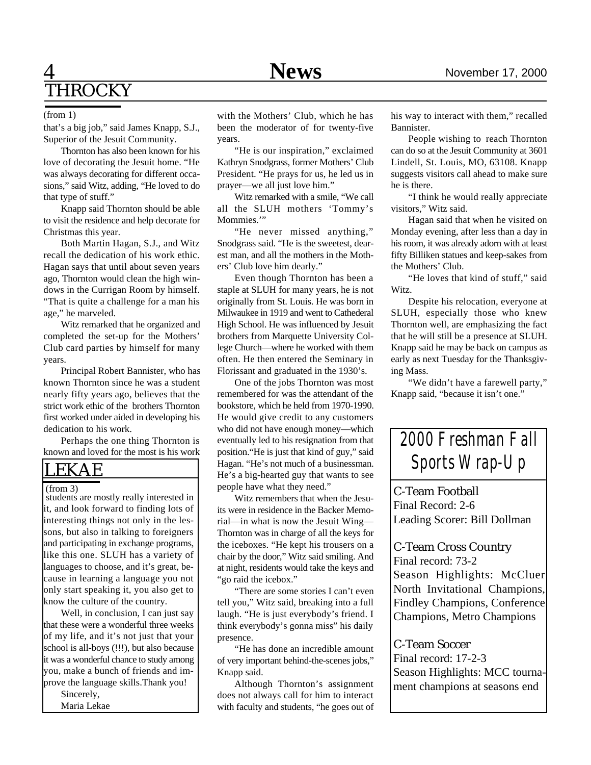### 4 **News** November 17, 2000 **THROCKY**

#### (from 1)

that's a big job," said James Knapp, S.J., Superior of the Jesuit Community.

Thornton has also been known for his love of decorating the Jesuit home. "He was always decorating for different occasions," said Witz, adding, "He loved to do that type of stuff."

Knapp said Thornton should be able to visit the residence and help decorate for Christmas this year.

Both Martin Hagan, S.J., and Witz recall the dedication of his work ethic. Hagan says that until about seven years ago, Thornton would clean the high windows in the Currigan Room by himself. "That is quite a challenge for a man his age," he marveled.

Witz remarked that he organized and completed the set-up for the Mothers' Club card parties by himself for many years.

Principal Robert Bannister, who has known Thornton since he was a student nearly fifty years ago, believes that the strict work ethic of the brothers Thornton first worked under aided in developing his dedication to his work.

Perhaps the one thing Thornton is known and loved for the most is his work

### LEKAE

#### (from 3)

 students are mostly really interested in it, and look forward to finding lots of interesting things not only in the lessons, but also in talking to foreigners and participating in exchange programs, like this one. SLUH has a variety of languages to choose, and it's great, because in learning a language you not only start speaking it, you also get to know the culture of the country.

Well, in conclusion, I can just say that these were a wonderful three weeks of my life, and it's not just that your school is all-boys (!!!), but also because it was a wonderful chance to study among you, make a bunch of friends and improve the language skills.Thank you!

Sincerely,

Maria Lekae

with the Mothers' Club, which he has been the moderator of for twenty-five years.

"He is our inspiration," exclaimed Kathryn Snodgrass, former Mothers' Club President. "He prays for us, he led us in prayer—we all just love him."

Witz remarked with a smile, "We call all the SLUH mothers 'Tommy's Mommies."

"He never missed anything," Snodgrass said. "He is the sweetest, dearest man, and all the mothers in the Mothers' Club love him dearly."

Even though Thornton has been a staple at SLUH for many years, he is not originally from St. Louis. He was born in Milwaukee in 1919 and went to Cathederal High School. He was influenced by Jesuit brothers from Marquette University College Church—where he worked with them often. He then entered the Seminary in Florissant and graduated in the 1930's.

One of the jobs Thornton was most remembered for was the attendant of the bookstore, which he held from 1970-1990. He would give credit to any customers who did not have enough money—which eventually led to his resignation from that position."He is just that kind of guy," said Hagan. "He's not much of a businessman. He's a big-hearted guy that wants to see people have what they need."

Witz remembers that when the Jesuits were in residence in the Backer Memorial—in what is now the Jesuit Wing— Thornton was in charge of all the keys for the iceboxes. "He kept his trousers on a chair by the door," Witz said smiling. And at night, residents would take the keys and "go raid the icebox."

"There are some stories I can't even tell you," Witz said, breaking into a full laugh. "He is just everybody's friend. I think everybody's gonna miss" his daily presence.

"He has done an incredible amount of very important behind-the-scenes jobs," Knapp said.

Although Thornton's assignment does not always call for him to interact with faculty and students, "he goes out of his way to interact with them," recalled Bannister.

People wishing to reach Thornton can do so at the Jesuit Community at 3601 Lindell, St. Louis, MO, 63108. Knapp suggests visitors call ahead to make sure he is there.

"I think he would really appreciate visitors," Witz said.

Hagan said that when he visited on Monday evening, after less than a day in his room, it was already adorn with at least fifty Billiken statues and keep-sakes from the Mothers' Club.

"He loves that kind of stuff," said Witz.

Despite his relocation, everyone at SLUH, especially those who knew Thornton well, are emphasizing the fact that he will still be a presence at SLUH. Knapp said he may be back on campus as early as next Tuesday for the Thanksgiving Mass.

"We didn't have a farewell party," Knapp said, "because it isn't one."



C-Team Football Final Record: 2-6 Leading Scorer: Bill Dollman

C-Team Cross Country

Final record: 73-2 Season Highlights: McCluer North Invitational Champions, Findley Champions, Conference Champions, Metro Champions

### C-Team Soccer

Final record: 17-2-3 Season Highlights: MCC tournament champions at seasons end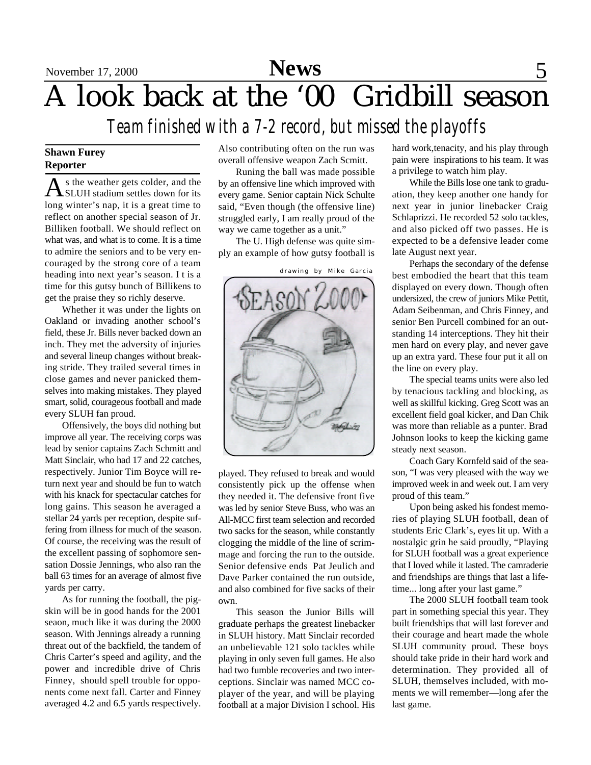# A look back at the '00 Gridbill season

*Team finished with a 7-2 record, but missed the playoffs*

### **Shawn Furey Reporter**

As the weather gets colder, and the<br>SLUH stadium settles down for its s the weather gets colder, and the long winter's nap, it is a great time to reflect on another special season of Jr. Billiken football. We should reflect on what was, and what is to come. It is a time to admire the seniors and to be very encouraged by the strong core of a team heading into next year's season. I t is a time for this gutsy bunch of Billikens to get the praise they so richly deserve.

Whether it was under the lights on Oakland or invading another school's field, these Jr. Bills never backed down an inch. They met the adversity of injuries and several lineup changes without breaking stride. They trailed several times in close games and never panicked themselves into making mistakes. They played smart, solid, courageous football and made every SLUH fan proud.

Offensively, the boys did nothing but improve all year. The receiving corps was lead by senior captains Zach Schmitt and Matt Sinclair, who had 17 and 22 catches, respectively. Junior Tim Boyce will return next year and should be fun to watch with his knack for spectacular catches for long gains. This season he averaged a stellar 24 yards per reception, despite suffering from illness for much of the season. Of course, the receiving was the result of the excellent passing of sophomore sensation Dossie Jennings, who also ran the ball 63 times for an average of almost five yards per carry.

As for running the football, the pigskin will be in good hands for the 2001 seaon, much like it was during the 2000 season. With Jennings already a running threat out of the backfield, the tandem of Chris Carter's speed and agility, and the power and incredible drive of Chris Finney, should spell trouble for opponents come next fall. Carter and Finney averaged 4.2 and 6.5 yards respectively. Also contributing often on the run was overall offensive weapon Zach Scmitt.

Runing the ball was made possible by an offensive line which improved with every game. Senior captain Nick Schulte said, "Even though (the offensive line) struggled early, I am really proud of the way we came together as a unit."

The U. High defense was quite simply an example of how gutsy football is



drawing by Mike Garcia

played. They refused to break and would consistently pick up the offense when they needed it. The defensive front five was led by senior Steve Buss, who was an All-MCC first team selection and recorded two sacks for the season, while constantly clogging the middle of the line of scrimmage and forcing the run to the outside. Senior defensive ends Pat Jeulich and Dave Parker contained the run outside, and also combined for five sacks of their own.

This season the Junior Bills will graduate perhaps the greatest linebacker in SLUH history. Matt Sinclair recorded an unbelievable 121 solo tackles while playing in only seven full games. He also had two fumble recoveries and two interceptions. Sinclair was named MCC coplayer of the year, and will be playing football at a major Division I school. His hard work,tenacity, and his play through pain were inspirations to his team. It was a privilege to watch him play.

While the Bills lose one tank to graduation, they keep another one handy for next year in junior linebacker Craig Schlaprizzi. He recorded 52 solo tackles, and also picked off two passes. He is expected to be a defensive leader come late August next year.

Perhaps the secondary of the defense best embodied the heart that this team displayed on every down. Though often undersized, the crew of juniors Mike Pettit, Adam Seibenman, and Chris Finney, and senior Ben Purcell combined for an outstanding 14 interceptions. They hit their men hard on every play, and never gave up an extra yard. These four put it all on the line on every play.

The special teams units were also led by tenacious tackling and blocking, as well as skillful kicking. Greg Scott was an excellent field goal kicker, and Dan Chik was more than reliable as a punter. Brad Johnson looks to keep the kicking game steady next season.

Coach Gary Kornfeld said of the season, "I was very pleased with the way we improved week in and week out. I am very proud of this team."

Upon being asked his fondest memories of playing SLUH football, dean of students Eric Clark's, eyes lit up. With a nostalgic grin he said proudly, "Playing for SLUH football was a great experience that I loved while it lasted. The camraderie and friendships are things that last a lifetime... long after your last game."

The 2000 SLUH football team took part in something special this year. They built friendships that will last forever and their courage and heart made the whole SLUH community proud. These boys should take pride in their hard work and determination. They provided all of SLUH, themselves included, with moments we will remember—long afer the last game.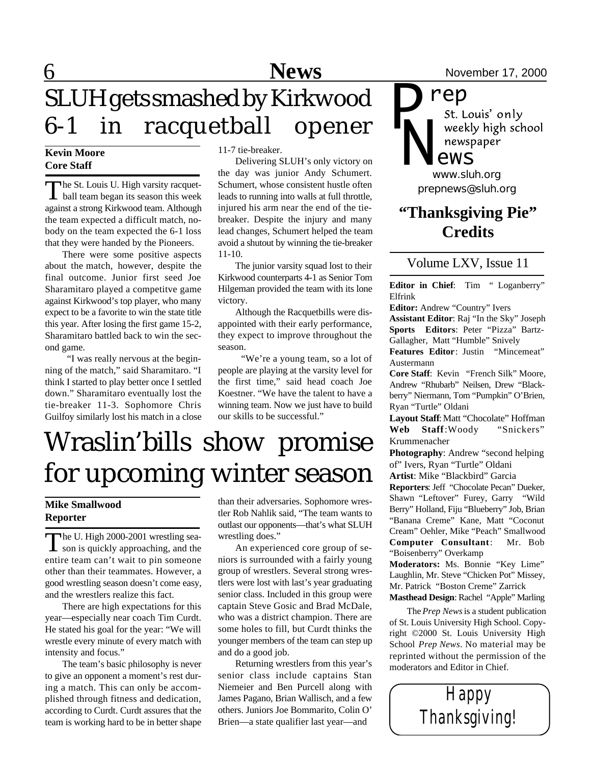# **6** News News November 17, 2000 SLUH gets smashed by Kirkwood 6-1 in racquetball opener

### **Kevin Moore Core Staff**

The St. Louis U. High varsity racquet-<br>ball team began its season this week The St. Louis U. High varsity racquetagainst a strong Kirkwood team. Although the team expected a difficult match, nobody on the team expected the 6-1 loss that they were handed by the Pioneers.

There were some positive aspects about the match, however, despite the final outcome. Junior first seed Joe Sharamitaro played a competitve game against Kirkwood's top player, who many expect to be a favorite to win the state title this year. After losing the first game 15-2, Sharamitaro battled back to win the second game.

 "I was really nervous at the beginning of the match," said Sharamitaro. "I think I started to play better once I settled down." Sharamitaro eventually lost the tie-breaker 11-3. Sophomore Chris Guilfoy similarly lost his match in a close 11-7 tie-breaker.

Delivering SLUH's only victory on the day was junior Andy Schumert. Schumert, whose consistent hustle often leads to running into walls at full throttle, injured his arm near the end of the tiebreaker. Despite the injury and many lead changes, Schumert helped the team avoid a shutout by winning the tie-breaker 11-10.

The junior varsity squad lost to their Kirkwood counterparts 4-1 as Senior Tom Hilgeman provided the team with its lone victory.

Although the Racquetbills were disappointed with their early performance, they expect to improve throughout the season.

 "We're a young team, so a lot of people are playing at the varsity level for the first time," said head coach Joe Koestner. "We have the talent to have a winning team. Now we just have to build our skills to be successful."

# Wraslin'bills show promise for upcoming winter season

### **Mike Smallwood Reporter**

The U. High 2000-2001 wrestling sea-<br>son is quickly approaching, and the he U. High 2000-2001 wrestling seaentire team can't wait to pin someone other than their teammates. However, a good wrestling season doesn't come easy, and the wrestlers realize this fact.

There are high expectations for this year—especially near coach Tim Curdt. He stated his goal for the year: "We will wrestle every minute of every match with intensity and focus."

The team's basic philosophy is never to give an opponent a moment's rest during a match. This can only be accomplished through fitness and dedication, according to Curdt. Curdt assures that the team is working hard to be in better shape than their adversaries. Sophomore wrestler Rob Nahlik said, "The team wants to outlast our opponents—that's what SLUH wrestling does."

An experienced core group of seniors is surrounded with a fairly young group of wrestlers. Several strong wrestlers were lost with last's year graduating senior class. Included in this group were captain Steve Gosic and Brad McDale, who was a district champion. There are some holes to fill, but Curdt thinks the younger members of the team can step up and do a good job.

Returning wrestlers from this year's senior class include captains Stan Niemeier and Ben Purcell along with James Pagano, Brian Wallisch, and a few others. Juniors Joe Bommarito, Colin O' Brien—a state qualifier last year—and

*rep* weekly high school newspaper *ews*

*prepnews@sluh.org N www.sluh.org*

*P*

### **"Thanksgiving Pie" Credits**

### Volume LXV, Issue 11

**Editor in Chief**: Tim " Loganberry" Elfrink

**Editor:** Andrew "Country" Ivers

**Assistant Editor**: Raj "In the Sky" Joseph **Sports Editors**: Peter "Pizza" Bartz-Gallagher, Matt "Humble" Snively

**Features Editor**: Justin "Mincemeat" Austermann

**Core Staff**: Kevin "French Silk" Moore, Andrew "Rhubarb" Neilsen, Drew "Blackberry" Niermann, Tom "Pumpkin" O'Brien, Ryan "Turtle" Oldani

Layout Staff: Matt "Chocolate" Hoffman **Web Staff**:Woody "Snickers" Krummenacher

**Photography**: Andrew "second helping of" Ivers, Ryan "Turtle" Oldani

**Artist**: Mike "Blackbird" Garcia

**Reporters**: Jeff "Chocolate Pecan" Dueker, Shawn "Leftover" Furey, Garry "Wild Berry" Holland, Fiju "Blueberry" Job, Brian "Banana Creme" Kane, Matt "Coconut Cream" Oehler, Mike "Peach" Smallwood **Computer Consultant**: Mr. Bob "Boisenberry" Overkamp

**Moderators:** Ms. Bonnie "Key Lime" Laughlin, Mr. Steve "Chicken Pot" Missey, Mr. Patrick "Boston Creme" Zarrick **Masthead Design**: Rachel "Apple" Marling

The *Prep News* is a student publication of St. Louis University High School. Copyright ©2000 St. Louis University High School *Prep News*. No material may be reprinted without the permission of the moderators and Editor in Chief.

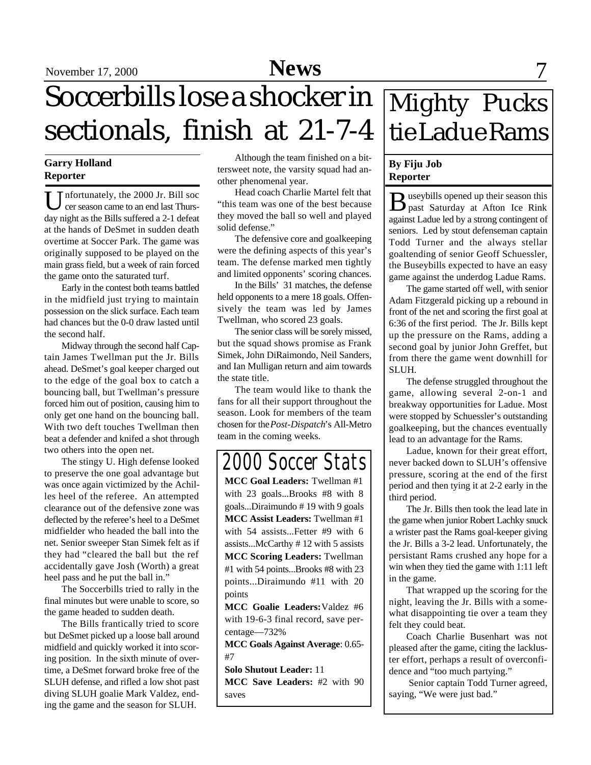# September 17, 2000 **Sports News** 7

Soccerbills lose a shocker in sectionals, finish at 21-7-4

### **Garry Holland Reporter**

U nfortunately, the 2000 Jr. Bill soc<br>day night as the Bills suffered a 2-1 defeat nfortunately, the 2000 Jr. Bill soc cer season came to an end last Thursat the hands of DeSmet in sudden death overtime at Soccer Park. The game was originally supposed to be played on the main grass field, but a week of rain forced the game onto the saturated turf.

Early in the contest both teams battled in the midfield just trying to maintain possession on the slick surface. Each team had chances but the 0-0 draw lasted until the second half.

Midway through the second half Captain James Twellman put the Jr. Bills ahead. DeSmet's goal keeper charged out to the edge of the goal box to catch a bouncing ball, but Twellman's pressure forced him out of position, causing him to only get one hand on the bouncing ball. With two deft touches Twellman then beat a defender and knifed a shot through two others into the open net.

The stingy U. High defense looked to preserve the one goal advantage but was once again victimized by the Achilles heel of the referee. An attempted clearance out of the defensive zone was deflected by the referee's heel to a DeSmet midfielder who headed the ball into the net. Senior sweeper Stan Simek felt as if they had "cleared the ball but the ref accidentally gave Josh (Worth) a great heel pass and he put the ball in."

The Soccerbills tried to rally in the final minutes but were unable to score, so the game headed to sudden death.

The Bills frantically tried to score but DeSmet picked up a loose ball around midfield and quickly worked it into scoring position. In the sixth minute of overtime, a DeSmet forward broke free of the SLUH defense, and rifled a low shot past diving SLUH goalie Mark Valdez, ending the game and the season for SLUH.

Although the team finished on a bittersweet note, the varsity squad had another phenomenal year.

Head coach Charlie Martel felt that "this team was one of the best because they moved the ball so well and played solid defense."

The defensive core and goalkeeping were the defining aspects of this year's team. The defense marked men tightly and limited opponents' scoring chances.

In the Bills' 31 matches, the defense held opponents to a mere 18 goals. Offensively the team was led by James Twellman, who scored 23 goals.

The senior class will be sorely missed, but the squad shows promise as Frank Simek, John DiRaimondo, Neil Sanders, and Ian Mulligan return and aim towards the state title.

The team would like to thank the fans for all their support throughout the season. Look for members of the team chosen for the *Post-Dispatch*'s All-Metro team in the coming weeks.

## *2000 Soccer Stats*

**MCC Goal Leaders:** Twellman #1 with 23 goals...Brooks #8 with 8 goals...Diraimundo # 19 with 9 goals **MCC Assist Leaders:** Twellman #1 with 54 assists...Fetter #9 with 6 assists...McCarthy # 12 with 5 assists **MCC Scoring Leaders:** Twellman #1 with 54 points...Brooks #8 with 23 points...Diraimundo #11 with 20 points

**MCC Goalie Leaders:**Valdez #6 with 19-6-3 final record, save percentage—732%

**MCC Goals Against Average**: 0.65- #7

**Solo Shutout Leader:** 11 **MCC Save Leaders:** #2 with 90 saves

# Mighty Pucks tie Ladue Rams

### **By Fiju Job Reporter**

B useybills opened up their season this<br>past Saturday at Afton Ice Rink useybills opened up their season this against Ladue led by a strong contingent of seniors. Led by stout defenseman captain Todd Turner and the always stellar goaltending of senior Geoff Schuessler, the Buseybills expected to have an easy game against the underdog Ladue Rams.

The game started off well, with senior Adam Fitzgerald picking up a rebound in front of the net and scoring the first goal at 6:36 of the first period. The Jr. Bills kept up the pressure on the Rams, adding a second goal by junior John Greffet, but from there the game went downhill for SLUH.

The defense struggled throughout the game, allowing several 2-on-1 and breakway opportunities for Ladue. Most were stopped by Schuessler's outstanding goalkeeping, but the chances eventually lead to an advantage for the Rams.

Ladue, known for their great effort, never backed down to SLUH's offensive pressure, scoring at the end of the first period and then tying it at 2-2 early in the third period.

The Jr. Bills then took the lead late in the game when junior Robert Lachky snuck a wrister past the Rams goal-keeper giving the Jr. Bills a 3-2 lead. Unfortunately, the persistant Rams crushed any hope for a win when they tied the game with 1:11 left in the game.

That wrapped up the scoring for the night, leaving the Jr. Bills with a somewhat disappointing tie over a team they felt they could beat.

Coach Charlie Busenhart was not pleased after the game, citing the lackluster effort, perhaps a result of overconfidence and "too much partying."

 Senior captain Todd Turner agreed, saying, "We were just bad."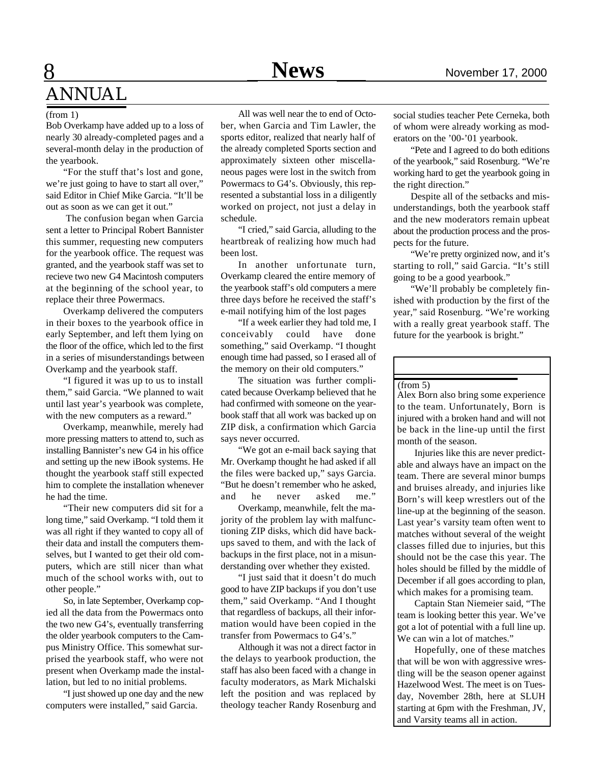### **8** News November 17, 2000 ANNUAL

#### (from 1)

Bob Overkamp have added up to a loss of nearly 30 already-completed pages and a several-month delay in the production of the yearbook.

"For the stuff that's lost and gone, we're just going to have to start all over," said Editor in Chief Mike Garcia. "It'll be out as soon as we can get it out."

 The confusion began when Garcia sent a letter to Principal Robert Bannister this summer, requesting new computers for the yearbook office. The request was granted, and the yearbook staff was set to recieve two new G4 Macintosh computers at the beginning of the school year, to replace their three Powermacs.

Overkamp delivered the computers in their boxes to the yearbook office in early September, and left them lying on the floor of the office, which led to the first in a series of misunderstandings between Overkamp and the yearbook staff.

"I figured it was up to us to install them," said Garcia. "We planned to wait until last year's yearbook was complete, with the new computers as a reward."

Overkamp, meanwhile, merely had more pressing matters to attend to, such as installing Bannister's new G4 in his office and setting up the new iBook systems. He thought the yearbook staff still expected him to complete the installation whenever he had the time.

"Their new computers did sit for a long time," said Overkamp. "I told them it was all right if they wanted to copy all of their data and install the computers themselves, but I wanted to get their old computers, which are still nicer than what much of the school works with, out to other people."

So, in late September, Overkamp copied all the data from the Powermacs onto the two new G4's, eventually transferring the older yearbook computers to the Campus Ministry Office. This somewhat surprised the yearbook staff, who were not present when Overkamp made the installation, but led to no initial problems.

"I just showed up one day and the new computers were installed," said Garcia.

All was well near the to end of October, when Garcia and Tim Lawler, the sports editor, realized that nearly half of the already completed Sports section and approximately sixteen other miscellaneous pages were lost in the switch from Powermacs to G4's. Obviously, this represented a substantial loss in a diligently worked on project, not just a delay in schedule.

"I cried," said Garcia, alluding to the heartbreak of realizing how much had been lost.

In another unfortunate turn, Overkamp cleared the entire memory of the yearbook staff's old computers a mere three days before he received the staff's e-mail notifying him of the lost pages

"If a week earlier they had told me, I conceivably could have done something," said Overkamp. "I thought enough time had passed, so I erased all of the memory on their old computers."

The situation was further complicated because Overkamp believed that he had confirmed with someone on the yearbook staff that all work was backed up on ZIP disk, a confirmation which Garcia says never occurred.

"We got an e-mail back saying that Mr. Overkamp thought he had asked if all the files were backed up," says Garcia. "But he doesn't remember who he asked, and he never asked me."

Overkamp, meanwhile, felt the majority of the problem lay with malfunctioning ZIP disks, which did have backups saved to them, and with the lack of backups in the first place, not in a misunderstanding over whether they existed.

"I just said that it doesn't do much good to have ZIP backups if you don't use them," said Overkamp. "And I thought that regardless of backups, all their information would have been copied in the transfer from Powermacs to G4's."

Although it was not a direct factor in the delays to yearbook production, the staff has also been faced with a change in faculty moderators, as Mark Michalski left the position and was replaced by theology teacher Randy Rosenburg and

social studies teacher Pete Cerneka, both of whom were already working as moderators on the '00-'01 yearbook.

"Pete and I agreed to do both editions of the yearbook," said Rosenburg. "We're working hard to get the yearbook going in the right direction."

Despite all of the setbacks and misunderstandings, both the yearbook staff and the new moderators remain upbeat about the production process and the prospects for the future.

"We're pretty orginized now, and it's starting to roll," said Garcia. "It's still going to be a good yearbook."

"We'll probably be completely finished with production by the first of the year," said Rosenburg. "We're working with a really great yearbook staff. The future for the yearbook is bright."

#### (from 5)

Alex Born also bring some experience to the team. Unfortunately, Born is injured with a broken hand and will not be back in the line-up until the first month of the season.

Injuries like this are never predictable and always have an impact on the team. There are several minor bumps and bruises already, and injuries like Born's will keep wrestlers out of the line-up at the beginning of the season. Last year's varsity team often went to matches without several of the weight classes filled due to injuries, but this should not be the case this year. The holes should be filled by the middle of December if all goes according to plan, which makes for a promising team.

Captain Stan Niemeier said, "The team is looking better this year. We've got a lot of potential with a full line up. We can win a lot of matches."

Hopefully, one of these matches that will be won with aggressive wrestling will be the season opener against Hazelwood West. The meet is on Tuesday, November 28th, here at SLUH starting at 6pm with the Freshman, JV, and Varsity teams all in action.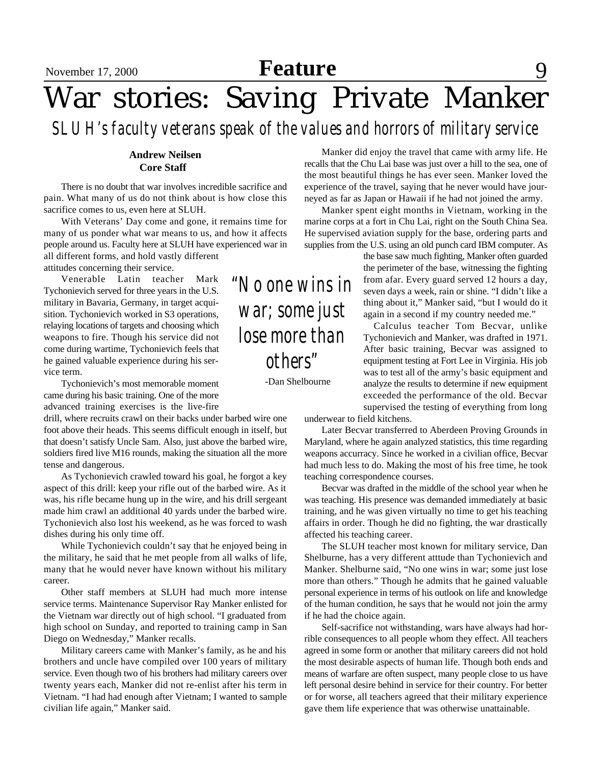# **Feature** 9

# War stories: Saving Private Manker

*SLUH's faculty veterans speak of the values and horrors of military service*

### **Andrew Neilsen Core Staff**

There is no doubt that war involves incredible sacrifice and pain. What many of us do not think about is how close this sacrifice comes to us, even here at SLUH.

With Veterans' Day come and gone, it remains time for many of us ponder what war means to us, and how it affects people around us. Faculty here at SLUH have experienced war in all different forms, and hold vastly different attitudes concerning their service.

Venerable Latin teacher Mark Tychonievich served for three years in the U.S. military in Bavaria, Germany, in target acquisition. Tychonievich worked in S3 operations, relaying locations of targets and choosing which weapons to fire. Though his service did not come during wartime, Tychonievich feels that he gained valuable experience during his service term.

Tychonievich's most memorable moment came during his basic training. One of the more advanced training exercises is the live-fire

drill, where recruits crawl on their backs under barbed wire one foot above their heads. This seems difficult enough in itself, but that doesn't satisfy Uncle Sam. Also, just above the barbed wire, soldiers fired live M16 rounds, making the situation all the more tense and dangerous.

As Tychonievich crawled toward his goal, he forgot a key aspect of this drill: keep your rifle out of the barbed wire. As it was, his rifle became hung up in the wire, and his drill sergeant made him crawl an additional 40 yards under the barbed wire. Tychonievich also lost his weekend, as he was forced to wash dishes during his only time off.

While Tychonievich couldn't say that he enjoyed being in the military, he said that he met people from all walks of life, many that he would never have known without his military career.

Other staff members at SLUH had much more intense service terms. Maintenance Supervisor Ray Manker enlisted for the Vietnam war directly out of high school. "I graduated from high school on Sunday, and reported to training camp in San Diego on Wednesday," Manker recalls.

Military careers came with Manker's family, as he and his brothers and uncle have compiled over 100 years of military service. Even though two of his brothers had military careers over twenty years each, Manker did not re-enlist after his term in Vietnam. "I had had enough after Vietnam; I wanted to sample civilian life again," Manker said.

Manker did enjoy the travel that came with army life. He recalls that the Chu Lai base was just over a hill to the sea, one of the most beautiful things he has ever seen. Manker loved the experience of the travel, saying that he never would have journeyed as far as Japan or Hawaii if he had not joined the army.

Manker spent eight months in Vietnam, working in the marine corps at a fort in Chu Lai, right on the South China Sea. He supervised aviation supply for the base, ordering parts and supplies from the U.S. using an old punch card IBM computer. As

> the base saw much fighting, Manker often guarded the perimeter of the base, witnessing the fighting from afar. Every guard served 12 hours a day, seven days a week, rain or shine. "I didn't like a thing about it," Manker said, "but I would do it again in a second if my country needed me."

> Calculus teacher Tom Becvar, unlike Tychonievich and Manker, was drafted in 1971. After basic training, Becvar was assigned to equipment testing at Fort Lee in Virginia. His job was to test all of the army's basic equipment and analyze the results to determine if new equipment exceeded the performance of the old. Becvar supervised the testing of everything from long

underwear to field kitchens.

Later Becvar transferred to Aberdeen Proving Grounds in Maryland, where he again analyzed statistics, this time regarding weapons accurracy. Since he worked in a civilian office, Becvar had much less to do. Making the most of his free time, he took teaching correspondence courses.

Becvar was drafted in the middle of the school year when he was teaching. His presence was demanded immediately at basic training, and he was given virtually no time to get his teaching affairs in order. Though he did no fighting, the war drastically affected his teaching career.

The SLUH teacher most known for military service, Dan Shelburne, has a very different atttude than Tychonievich and Manker. Shelburne said, "No one wins in war; some just lose more than others." Though he admits that he gained valuable personal experience in terms of his outlook on life and knowledge of the human condition, he says that he would not join the army if he had the choice again.

Self-sacrifice not withstanding, wars have always had horrible consequences to all people whom they effect. All teachers agreed in some form or another that military careers did not hold the most desirable aspects of human life. Though both ends and means of warfare are often suspect, many people close to us have left personal desire behind in service for their country. For better or for worse, all teachers agreed that their military experience gave them life experience that was otherwise unattainable.

## *"No one wins in war; some just lose more than others"*

-Dan Shelbourne